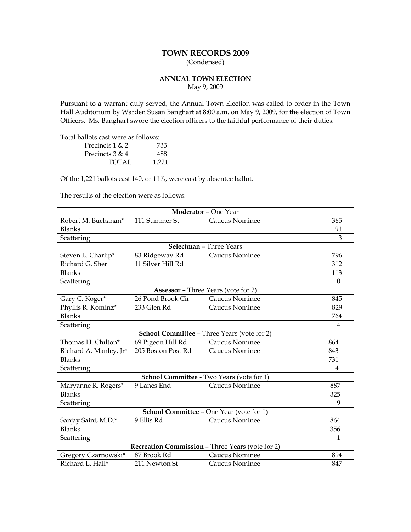# **TOWN RECORDS 2009**

(Condensed)

# **ANNUAL TOWN ELECTION** May 9, 2009

Pursuant to a warrant duly served, the Annual Town Election was called to order in the Town Hall Auditorium by Warden Susan Banghart at 8:00 a.m. on May 9, 2009, for the election of Town Officers. Ms. Banghart swore the election officers to the faithful performance of their duties.

Total ballots cast were as follows:

| Precincts $1 & 2$ | 733   |
|-------------------|-------|
| Precincts 3 & 4   | 488   |
| TOTAL             | 1.221 |

Of the 1,221 ballots cast 140, or 11%, were cast by absentee ballot.

The results of the election were as follows:

| <b>Moderator - One Year</b>                      |                    |                                             |                |  |
|--------------------------------------------------|--------------------|---------------------------------------------|----------------|--|
| Robert M. Buchanan*                              | 111 Summer St      | Caucus Nominee                              | 365            |  |
| <b>Blanks</b>                                    |                    |                                             | 91             |  |
| Scattering                                       |                    |                                             | 3              |  |
|                                                  |                    | <b>Selectman - Three Years</b>              |                |  |
| Steven L. Charlip*                               | 83 Ridgeway Rd     | Caucus Nominee                              | 796            |  |
| Richard G. Sher                                  | 11 Silver Hill Rd  |                                             | 312            |  |
| <b>Blanks</b>                                    |                    |                                             | 113            |  |
| Scattering                                       |                    |                                             | $\Omega$       |  |
|                                                  |                    | <b>Assessor</b> - Three Years (vote for 2)  |                |  |
| Gary C. Koger*                                   | 26 Pond Brook Cir  | <b>Caucus Nominee</b>                       | 845            |  |
| Phyllis R. Kominz*                               | 233 Glen Rd        | <b>Caucus Nominee</b>                       | 829            |  |
| <b>Blanks</b>                                    |                    |                                             | 764            |  |
| Scattering                                       |                    |                                             | 4              |  |
|                                                  |                    | School Committee - Three Years (vote for 2) |                |  |
| Thomas H. Chilton*                               | 69 Pigeon Hill Rd  | Caucus Nominee                              | 864            |  |
| Richard A. Manley, Jr*                           | 205 Boston Post Rd | <b>Caucus Nominee</b>                       | 843            |  |
| <b>Blanks</b>                                    |                    |                                             | 731            |  |
| Scattering                                       |                    |                                             | $\overline{4}$ |  |
|                                                  |                    | School Committee - Two Years (vote for 1)   |                |  |
| Maryanne R. Rogers*                              | 9 Lanes End        | Caucus Nominee                              | 887            |  |
| <b>Blanks</b>                                    |                    |                                             | 325            |  |
| Scattering                                       |                    |                                             | 9              |  |
| <b>School Committee - One Year (vote for 1)</b>  |                    |                                             |                |  |
| Sanjay Saini, M.D.*                              | 9 Ellis Rd         | <b>Caucus Nominee</b>                       | 864            |  |
| <b>Blanks</b>                                    |                    |                                             | 356            |  |
| Scattering                                       |                    |                                             | 1              |  |
| Recreation Commission - Three Years (vote for 2) |                    |                                             |                |  |
| Gregory Czarnowski*                              | 87 Brook Rd        | <b>Caucus Nominee</b>                       | 894            |  |
| Richard L. Hall*                                 | 211 Newton St      | Caucus Nominee                              | 847            |  |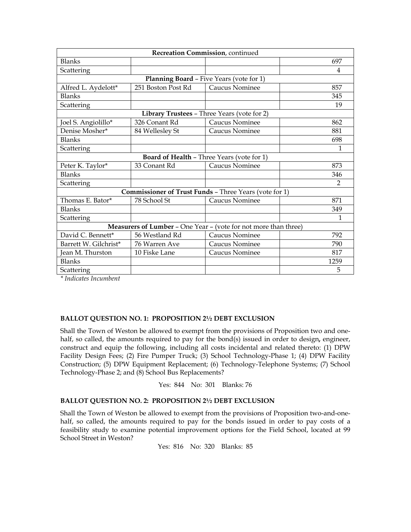| Recreation Commission, continued |                    |                                                                 |                |  |
|----------------------------------|--------------------|-----------------------------------------------------------------|----------------|--|
| <b>Blanks</b>                    |                    |                                                                 | 697            |  |
| Scattering                       |                    |                                                                 | 4              |  |
|                                  |                    | <b>Planning Board - Five Years (vote for 1)</b>                 |                |  |
| Alfred L. Aydelott*              | 251 Boston Post Rd | Caucus Nominee                                                  | 857            |  |
| <b>Blanks</b>                    |                    |                                                                 | 345            |  |
| Scattering                       |                    |                                                                 | 19             |  |
|                                  |                    | Library Trustees - Three Years (vote for 2)                     |                |  |
| Joel S. Angiolillo*              | 326 Conant Rd      | Caucus Nominee                                                  | 862            |  |
| Denise Mosher*                   | 84 Wellesley St    | Caucus Nominee                                                  | 881            |  |
| <b>Blanks</b>                    |                    |                                                                 | 698            |  |
| Scattering                       |                    |                                                                 | 1              |  |
|                                  |                    | <b>Board of Health - Three Years (vote for 1)</b>               |                |  |
| Peter K. Taylor*                 | 33 Conant Rd       | <b>Caucus Nominee</b>                                           | 873            |  |
| <b>Blanks</b>                    |                    |                                                                 | 346            |  |
| Scattering                       |                    |                                                                 | $\mathfrak{D}$ |  |
|                                  |                    | <b>Commissioner of Trust Funds - Three Years (vote for 1)</b>   |                |  |
| Thomas E. Bator*                 | 78 School St       | <b>Caucus Nominee</b>                                           | 871            |  |
| <b>Blanks</b>                    |                    |                                                                 | 349            |  |
| Scattering                       |                    |                                                                 | 1              |  |
|                                  |                    | Measurers of Lumber - One Year - (vote for not more than three) |                |  |
| David C. Bennett*                | 56 Westland Rd     | <b>Caucus Nominee</b>                                           | 792            |  |
| Barrett W. Gilchrist*            | 76 Warren Ave      | Caucus Nominee                                                  | 790            |  |
| Jean M. Thurston                 | 10 Fiske Lane      | Caucus Nominee                                                  | 817            |  |
| <b>Blanks</b>                    |                    |                                                                 | 1259           |  |
| Scattering                       |                    |                                                                 | 5              |  |

*\* Indicates Incumbent* 

#### **BALLOT QUESTION NO. 1: PROPOSITION 2½ DEBT EXCLUSION**

Shall the Town of Weston be allowed to exempt from the provisions of Proposition two and onehalf, so called, the amounts required to pay for the bond(s) issued in order to design**,** engineer, construct and equip the following, including all costs incidental and related thereto: (1) DPW Facility Design Fees; (2) Fire Pumper Truck; (3) School Technology-Phase 1; (4) DPW Facility Construction; (5) DPW Equipment Replacement; (6) Technology-Telephone Systems; (7) School Technology-Phase 2; and (8) School Bus Replacements?

Yes: 844 No: 301 Blanks: 76

#### **BALLOT QUESTION NO. 2: PROPOSITION 2½ DEBT EXCLUSION**

Shall the Town of Weston be allowed to exempt from the provisions of Proposition two-and-onehalf, so called, the amounts required to pay for the bonds issued in order to pay costs of a feasibility study to examine potential improvement options for the Field School, located at 99 School Street in Weston?

Yes: 816 No: 320 Blanks: 85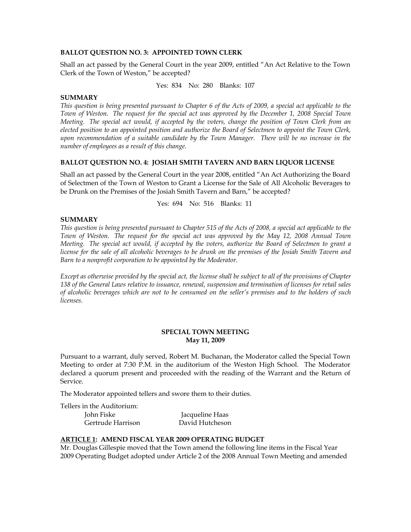#### **BALLOT QUESTION NO. 3: APPOINTED TOWN CLERK**

Shall an act passed by the General Court in the year 2009, entitled "An Act Relative to the Town Clerk of the Town of Weston," be accepted?

Yes: 834 No: 280 Blanks: 107

#### **SUMMARY**

*This question is being presented pursuant to Chapter 6 of the Acts of 2009, a special act applicable to the Town of Weston. The request for the special act was approved by the December 1, 2008 Special Town Meeting. The special act would, if accepted by the voters, change the position of Town Clerk from an elected position to an appointed position and authorize the Board of Selectmen to appoint the Town Clerk, upon recommendation of a suitable candidate by the Town Manager. There will be no increase in the number of employees as a result of this change.* 

# **BALLOT QUESTION NO. 4: JOSIAH SMITH TAVERN AND BARN LIQUOR LICENSE**

Shall an act passed by the General Court in the year 2008, entitled "An Act Authorizing the Board of Selectmen of the Town of Weston to Grant a License for the Sale of All Alcoholic Beverages to be Drunk on the Premises of the Josiah Smith Tavern and Barn," be accepted?

Yes: 694 No: 516 Blanks: 11

#### **SUMMARY**

*This question is being presented pursuant to Chapter 515 of the Acts of 2008, a special act applicable to the Town of Weston. The request for the special act was approved by the May 12, 2008 Annual Town Meeting. The special act would, if accepted by the voters, authorize the Board of Selectmen to grant a license for the sale of all alcoholic beverages to be drunk on the premises of the Josiah Smith Tavern and Barn to a nonprofit corporation to be appointed by the Moderator.* 

*Except as otherwise provided by the special act, the license shall be subject to all of the provisions of Chapter 138 of the General Laws relative to issuance, renewal, suspension and termination of licenses for retail sales of alcoholic beverages which are not to be consumed on the seller's premises and to the holders of such licenses.* 

#### **SPECIAL TOWN MEETING May 11, 2009**

Pursuant to a warrant, duly served, Robert M. Buchanan, the Moderator called the Special Town Meeting to order at 7:30 P.M. in the auditorium of the Weston High School. The Moderator declared a quorum present and proceeded with the reading of the Warrant and the Return of Service.

The Moderator appointed tellers and swore them to their duties.

Tellers in the Auditorium:

John Fiske Jacqueline Haas Gertrude Harrison David Hutcheson

# **ARTICLE 1: AMEND FISCAL YEAR 2009 OPERATING BUDGET**

Mr. Douglas Gillespie moved that the Town amend the following line items in the Fiscal Year 2009 Operating Budget adopted under Article 2 of the 2008 Annual Town Meeting and amended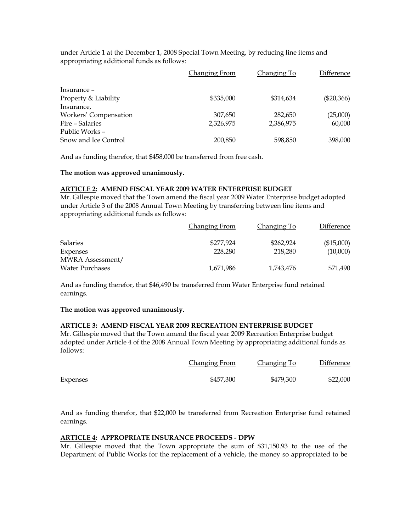under Article 1 at the December 1, 2008 Special Town Meeting, by reducing line items and appropriating additional funds as follows:

|                       | <b>Changing From</b> | Changing To | <b>Difference</b> |
|-----------------------|----------------------|-------------|-------------------|
| Insurance -           |                      |             |                   |
| Property & Liability  | \$335,000            | \$314,634   | $(\$20,366)$      |
| Insurance,            |                      |             |                   |
| Workers' Compensation | 307,650              | 282,650     | (25,000)          |
| Fire - Salaries       | 2,326,975            | 2,386,975   | 60,000            |
| Public Works –        |                      |             |                   |
| Snow and Ice Control  | 200,850              | 598,850     | 398,000           |

And as funding therefor, that \$458,000 be transferred from free cash.

#### **The motion was approved unanimously.**

## **ARTICLE 2: AMEND FISCAL YEAR 2009 WATER ENTERPRISE BUDGET**

Mr. Gillespie moved that the Town amend the fiscal year 2009 Water Enterprise budget adopted under Article 3 of the 2008 Annual Town Meeting by transferring between line items and appropriating additional funds as follows:

|                        | Changing From | Changing To | Difference |
|------------------------|---------------|-------------|------------|
| <b>Salaries</b>        | \$277,924     | \$262,924   | (\$15,000) |
| Expenses               | 228,280       | 218,280     | (10,000)   |
| MWRA Assessment/       |               |             |            |
| <b>Water Purchases</b> | 1,671,986     | 1,743,476   | \$71,490   |

And as funding therefor, that \$46,490 be transferred from Water Enterprise fund retained earnings.

#### **The motion was approved unanimously.**

#### **ARTICLE 3: AMEND FISCAL YEAR 2009 RECREATION ENTERPRISE BUDGET**

Mr. Gillespie moved that the Town amend the fiscal year 2009 Recreation Enterprise budget adopted under Article 4 of the 2008 Annual Town Meeting by appropriating additional funds as follows:

|          | Changing From | Changing To | Difference |
|----------|---------------|-------------|------------|
| Expenses | \$457,300     | \$479.300   | \$22,000   |

And as funding therefor, that \$22,000 be transferred from Recreation Enterprise fund retained earnings.

# **ARTICLE 4: APPROPRIATE INSURANCE PROCEEDS - DPW**

Mr. Gillespie moved that the Town appropriate the sum of \$31,150.93 to the use of the Department of Public Works for the replacement of a vehicle, the money so appropriated to be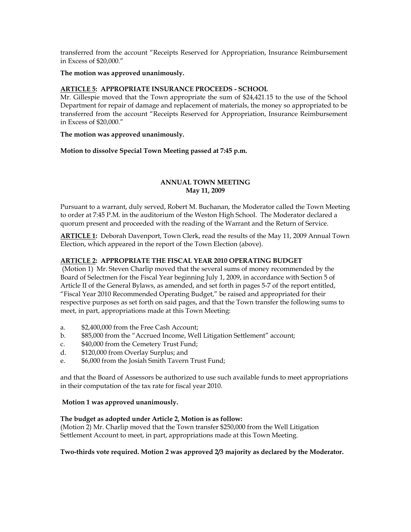transferred from the account "Receipts Reserved for Appropriation, Insurance Reimbursement in Excess of \$20,000."

## **The motion was approved unanimously.**

# **ARTICLE 5: APPROPRIATE INSURANCE PROCEEDS - SCHOOL**

Mr. Gillespie moved that the Town appropriate the sum of \$24,421.15 to the use of the School Department for repair of damage and replacement of materials, the money so appropriated to be transferred from the account "Receipts Reserved for Appropriation, Insurance Reimbursement in Excess of \$20,000."

#### **The motion was approved unanimously.**

# **Motion to dissolve Special Town Meeting passed at 7:45 p.m.**

# **ANNUAL TOWN MEETING May 11, 2009**

Pursuant to a warrant, duly served, Robert M. Buchanan, the Moderator called the Town Meeting to order at 7:45 P.M. in the auditorium of the Weston High School. The Moderator declared a quorum present and proceeded with the reading of the Warrant and the Return of Service.

**ARTICLE 1:** Deborah Davenport, Town Clerk, read the results of the May 11, 2009 Annual Town Election, which appeared in the report of the Town Election (above).

# **ARTICLE 2: APPROPRIATE THE FISCAL YEAR 2010 OPERATING BUDGET**

 (Motion 1) Mr. Steven Charlip moved that the several sums of money recommended by the Board of Selectmen for the Fiscal Year beginning July 1, 2009, in accordance with Section 5 of Article II of the General Bylaws, as amended, and set forth in pages 5-7 of the report entitled, "Fiscal Year 2010 Recommended Operating Budget," be raised and appropriated for their respective purposes as set forth on said pages, and that the Town transfer the following sums to meet, in part, appropriations made at this Town Meeting:

- a. \$2,400,000 from the Free Cash Account;
- b. \$85,000 from the "Accrued Income, Well Litigation Settlement" account;
- c. \$40,000 from the Cemetery Trust Fund;
- d. \$120,000 from Overlay Surplus; and
- e. \$6,000 from the Josiah Smith Tavern Trust Fund;

and that the Board of Assessors be authorized to use such available funds to meet appropriations in their computation of the tax rate for fiscal year 2010.

#### **Motion 1 was approved unanimously.**

#### **The budget as adopted under Article 2, Motion is as follow:**

(Motion 2) Mr. Charlip moved that the Town transfer \$250,000 from the Well Litigation Settlement Account to meet, in part, appropriations made at this Town Meeting.

#### **Two-thirds vote required. Motion 2 was approved 2/3 majority as declared by the Moderator.**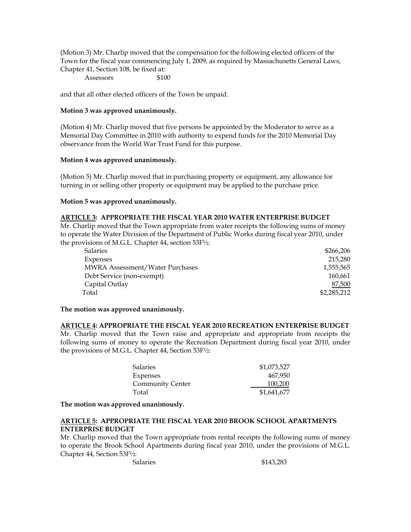(Motion 3) Mr. Charlip moved that the compensation for the following elected officers of the Town for the fiscal year commencing July 1, 2009, as required by Massachusetts General Laws, Chapter 41, Section 108, be fixed at:

Assessors

and that all other elected officers of the Town be unpaid.

## **Motion 3 was approved unanimously.**

(Motion 4) Mr. Charlip moved that five persons be appointed by the Moderator to serve as a Memorial Day Committee in 2010 with authority to expend funds for the 2010 Memorial Day observance from the World War Trust Fund for this purpose.

#### **Motion 4 was approved unanimously.**

(Motion 5) Mr. Charlip moved that in purchasing property or equipment, any allowance for turning in or selling other property or equipment may be applied to the purchase price.

# **Motion 5 was approved unanimously.**

# **ARTICLE 3: APPROPRIATE THE FISCAL YEAR 2010 WATER ENTERPRISE BUDGET**

Mr. Charlip moved that the Town appropriate from water receipts the following sums of money to operate the Water Division of the Department of Public Works during fiscal year 2010, under the provisions of M.G.L. Chapter 44, section 53F½:

| <b>Salaries</b>                        | \$266,206   |
|----------------------------------------|-------------|
| Expenses                               | 215,280     |
| <b>MWRA Assessment/Water Purchases</b> | 1,555,565   |
| Debt Service (non-exempt)              | 160,661     |
| Capital Outlay                         | 87,500      |
| Total                                  | \$2,285,212 |
|                                        |             |

#### **The motion was approved unanimously.**

## **ARTICLE 4: APPROPRIATE THE FISCAL YEAR 2010 RECREATION ENTERPRISE BUDGET**  Mr. Charlip moved that the Town raise and appropriate and appropriate from receipts the following sums of money to operate the Recreation Department during fiscal year 2010, under the provisions of M.G.L. Chapter 44, Section 53F½:

| <b>Salaries</b>         | \$1,073,527 |
|-------------------------|-------------|
| Expenses                | 467.950     |
| <b>Community Center</b> | 100,200     |
| Total                   | \$1,641,677 |

**The motion was approved unanimously.** 

# **ARTICLE 5: APPROPRIATE THE FISCAL YEAR 2010 BROOK SCHOOL APARTMENTS ENTERPRISE BUDGET**

Mr. Charlip moved that the Town appropriate from rental receipts the following sums of money to operate the Brook School Apartments during fiscal year 2010, under the provisions of M.G.L. Chapter 44, Section 53F½:

Salaries  $$143,283$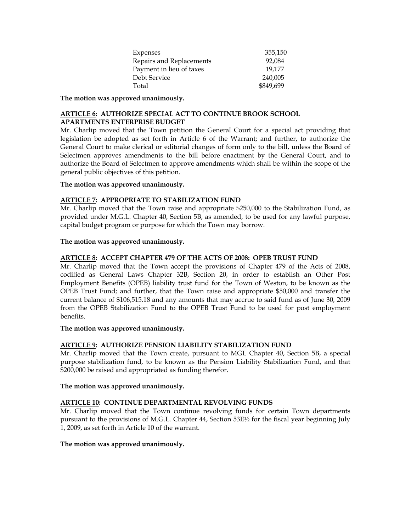| Expenses                 | 355,150   |
|--------------------------|-----------|
| Repairs and Replacements | 92.084    |
| Payment in lieu of taxes | 19.177    |
| Debt Service             | 240,005   |
| Total                    | \$849,699 |

**The motion was approved unanimously.** 

# **ARTICLE 6: AUTHORIZE SPECIAL ACT TO CONTINUE BROOK SCHOOL APARTMENTS ENTERPRISE BUDGET**

Mr. Charlip moved that the Town petition the General Court for a special act providing that legislation be adopted as set forth in Article 6 of the Warrant; and further, to authorize the General Court to make clerical or editorial changes of form only to the bill, unless the Board of Selectmen approves amendments to the bill before enactment by the General Court, and to authorize the Board of Selectmen to approve amendments which shall be within the scope of the general public objectives of this petition.

# **The motion was approved unanimously.**

# **ARTICLE 7: APPROPRIATE TO STABILIZATION FUND**

Mr. Charlip moved that the Town raise and appropriate \$250,000 to the Stabilization Fund, as provided under M.G.L. Chapter 40, Section 5B, as amended, to be used for any lawful purpose, capital budget program or purpose for which the Town may borrow.

# **The motion was approved unanimously.**

# **ARTICLE 8: ACCEPT CHAPTER 479 OF THE ACTS OF 2008: OPEB TRUST FUND**

Mr. Charlip moved that the Town accept the provisions of Chapter 479 of the Acts of 2008, codified as General Laws Chapter 32B, Section 20, in order to establish an Other Post Employment Benefits (OPEB) liability trust fund for the Town of Weston, to be known as the OPEB Trust Fund; and further, that the Town raise and appropriate \$50,000 and transfer the current balance of \$106,515.18 and any amounts that may accrue to said fund as of June 30, 2009 from the OPEB Stabilization Fund to the OPEB Trust Fund to be used for post employment benefits.

#### **The motion was approved unanimously.**

# **ARTICLE 9: AUTHORIZE PENSION LIABILITY STABILIZATION FUND**

Mr. Charlip moved that the Town create, pursuant to MGL Chapter 40, Section 5B, a special purpose stabilization fund, to be known as the Pension Liability Stabilization Fund, and that \$200,000 be raised and appropriated as funding therefor.

#### **The motion was approved unanimously.**

# **ARTICLE 10: CONTINUE DEPARTMENTAL REVOLVING FUNDS**

Mr. Charlip moved that the Town continue revolving funds for certain Town departments pursuant to the provisions of M.G.L. Chapter 44, Section 53E½ for the fiscal year beginning July 1, 2009, as set forth in Article 10 of the warrant.

#### **The motion was approved unanimously.**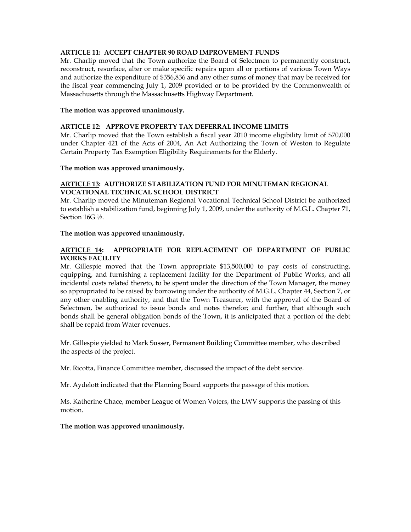# **ARTICLE 11: ACCEPT CHAPTER 90 ROAD IMPROVEMENT FUNDS**

Mr. Charlip moved that the Town authorize the Board of Selectmen to permanently construct, reconstruct, resurface, alter or make specific repairs upon all or portions of various Town Ways and authorize the expenditure of \$356,836 and any other sums of money that may be received for the fiscal year commencing July 1, 2009 provided or to be provided by the Commonwealth of Massachusetts through the Massachusetts Highway Department.

#### **The motion was approved unanimously.**

#### **ARTICLE 12: APPROVE PROPERTY TAX DEFERRAL INCOME LIMITS**

Mr. Charlip moved that the Town establish a fiscal year 2010 income eligibility limit of \$70,000 under Chapter 421 of the Acts of 2004, An Act Authorizing the Town of Weston to Regulate Certain Property Tax Exemption Eligibility Requirements for the Elderly.

#### **The motion was approved unanimously.**

# **ARTICLE 13: AUTHORIZE STABILIZATION FUND FOR MINUTEMAN REGIONAL VOCATIONAL TECHNICAL SCHOOL DISTRICT**

Mr. Charlip moved the Minuteman Regional Vocational Technical School District be authorized to establish a stabilization fund, beginning July 1, 2009, under the authority of M.G.L. Chapter 71, Section 16G ½.

#### **The motion was approved unanimously.**

## **ARTICLE 14: APPROPRIATE FOR REPLACEMENT OF DEPARTMENT OF PUBLIC WORKS FACILITY**

Mr. Gillespie moved that the Town appropriate \$13,500,000 to pay costs of constructing, equipping, and furnishing a replacement facility for the Department of Public Works, and all incidental costs related thereto, to be spent under the direction of the Town Manager, the money so appropriated to be raised by borrowing under the authority of M.G.L. Chapter 44, Section 7, or any other enabling authority, and that the Town Treasurer, with the approval of the Board of Selectmen, be authorized to issue bonds and notes therefor; and further, that although such bonds shall be general obligation bonds of the Town, it is anticipated that a portion of the debt shall be repaid from Water revenues.

Mr. Gillespie yielded to Mark Susser, Permanent Building Committee member, who described the aspects of the project.

Mr. Ricotta, Finance Committee member, discussed the impact of the debt service.

Mr. Aydelott indicated that the Planning Board supports the passage of this motion.

Ms. Katherine Chace, member League of Women Voters, the LWV supports the passing of this motion.

**The motion was approved unanimously.**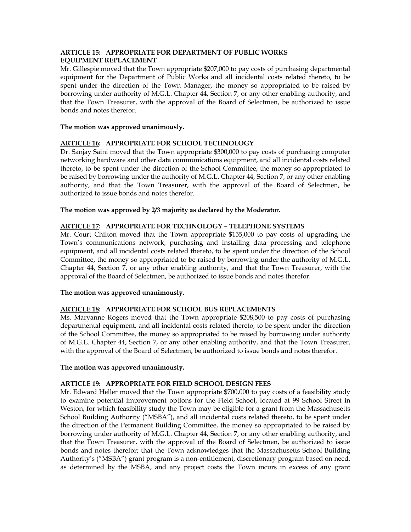# **ARTICLE 15: APPROPRIATE FOR DEPARTMENT OF PUBLIC WORKS EQUIPMENT REPLACEMENT**

Mr. Gillespie moved that the Town appropriate \$207,000 to pay costs of purchasing departmental equipment for the Department of Public Works and all incidental costs related thereto, to be spent under the direction of the Town Manager, the money so appropriated to be raised by borrowing under authority of M.G.L. Chapter 44, Section 7, or any other enabling authority, and that the Town Treasurer, with the approval of the Board of Selectmen, be authorized to issue bonds and notes therefor.

# **The motion was approved unanimously.**

# **ARTICLE 16: APPROPRIATE FOR SCHOOL TECHNOLOGY**

Dr. Sanjay Saini moved that the Town appropriate \$300,000 to pay costs of purchasing computer networking hardware and other data communications equipment, and all incidental costs related thereto, to be spent under the direction of the School Committee, the money so appropriated to be raised by borrowing under the authority of M.G.L. Chapter 44, Section 7, or any other enabling authority, and that the Town Treasurer, with the approval of the Board of Selectmen, be authorized to issue bonds and notes therefor.

# **The motion was approved by 2/3 majority as declared by the Moderator.**

# **ARTICLE 17: APPROPRIATE FOR TECHNOLOGY – TELEPHONE SYSTEMS**

Mr. Court Chilton moved that the Town appropriate \$155,000 to pay costs of upgrading the Town's communications network, purchasing and installing data processing and telephone equipment, and all incidental costs related thereto, to be spent under the direction of the School Committee, the money so appropriated to be raised by borrowing under the authority of M.G.L. Chapter 44, Section 7, or any other enabling authority, and that the Town Treasurer, with the approval of the Board of Selectmen, be authorized to issue bonds and notes therefor.

# **The motion was approved unanimously.**

# **ARTICLE 18: APPROPRIATE FOR SCHOOL BUS REPLACEMENTS**

Ms. Maryanne Rogers moved that the Town appropriate \$208,500 to pay costs of purchasing departmental equipment, and all incidental costs related thereto, to be spent under the direction of the School Committee, the money so appropriated to be raised by borrowing under authority of M.G.L. Chapter 44, Section 7, or any other enabling authority, and that the Town Treasurer, with the approval of the Board of Selectmen, be authorized to issue bonds and notes therefor.

# **The motion was approved unanimously.**

# **ARTICLE 19: APPROPRIATE FOR FIELD SCHOOL DESIGN FEES**

Mr. Edward Heller moved that the Town appropriate \$700,000 to pay costs of a feasibility study to examine potential improvement options for the Field School, located at 99 School Street in Weston, for which feasibility study the Town may be eligible for a grant from the Massachusetts School Building Authority ("MSBA"), and all incidental costs related thereto, to be spent under the direction of the Permanent Building Committee, the money so appropriated to be raised by borrowing under authority of M.G.L. Chapter 44, Section 7, or any other enabling authority, and that the Town Treasurer, with the approval of the Board of Selectmen, be authorized to issue bonds and notes therefor; that the Town acknowledges that the Massachusetts School Building Authority's ("MSBA") grant program is a non-entitlement, discretionary program based on need, as determined by the MSBA, and any project costs the Town incurs in excess of any grant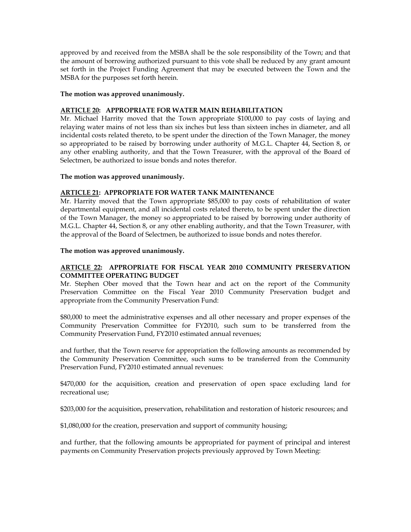approved by and received from the MSBA shall be the sole responsibility of the Town; and that the amount of borrowing authorized pursuant to this vote shall be reduced by any grant amount set forth in the Project Funding Agreement that may be executed between the Town and the MSBA for the purposes set forth herein.

#### **The motion was approved unanimously.**

# **ARTICLE 20: APPROPRIATE FOR WATER MAIN REHABILITATION**

Mr. Michael Harrity moved that the Town appropriate \$100,000 to pay costs of laying and relaying water mains of not less than six inches but less than sixteen inches in diameter, and all incidental costs related thereto, to be spent under the direction of the Town Manager, the money so appropriated to be raised by borrowing under authority of M.G.L. Chapter 44, Section 8, or any other enabling authority, and that the Town Treasurer, with the approval of the Board of Selectmen, be authorized to issue bonds and notes therefor.

#### **The motion was approved unanimously.**

# **ARTICLE 21: APPROPRIATE FOR WATER TANK MAINTENANCE**

Mr. Harrity moved that the Town appropriate \$85,000 to pay costs of rehabilitation of water departmental equipment, and all incidental costs related thereto, to be spent under the direction of the Town Manager, the money so appropriated to be raised by borrowing under authority of M.G.L. Chapter 44, Section 8, or any other enabling authority, and that the Town Treasurer, with the approval of the Board of Selectmen, be authorized to issue bonds and notes therefor.

#### **The motion was approved unanimously.**

# **ARTICLE 22: APPROPRIATE FOR FISCAL YEAR 2010 COMMUNITY PRESERVATION COMMITTEE OPERATING BUDGET**

Mr. Stephen Ober moved that the Town hear and act on the report of the Community Preservation Committee on the Fiscal Year 2010 Community Preservation budget and appropriate from the Community Preservation Fund:

\$80,000 to meet the administrative expenses and all other necessary and proper expenses of the Community Preservation Committee for FY2010, such sum to be transferred from the Community Preservation Fund, FY2010 estimated annual revenues;

and further, that the Town reserve for appropriation the following amounts as recommended by the Community Preservation Committee, such sums to be transferred from the Community Preservation Fund, FY2010 estimated annual revenues:

\$470,000 for the acquisition, creation and preservation of open space excluding land for recreational use;

\$203,000 for the acquisition, preservation, rehabilitation and restoration of historic resources; and

\$1,080,000 for the creation, preservation and support of community housing;

and further, that the following amounts be appropriated for payment of principal and interest payments on Community Preservation projects previously approved by Town Meeting: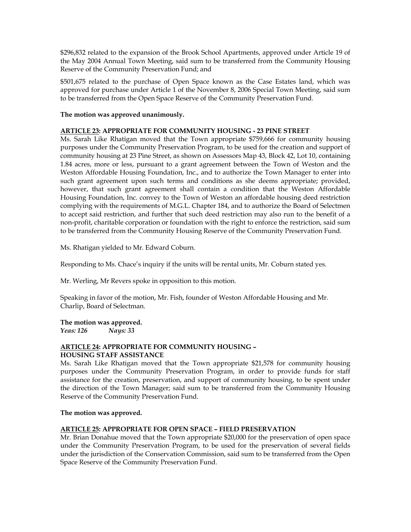\$296,832 related to the expansion of the Brook School Apartments, approved under Article 19 of the May 2004 Annual Town Meeting, said sum to be transferred from the Community Housing Reserve of the Community Preservation Fund; and

\$501,675 related to the purchase of Open Space known as the Case Estates land, which was approved for purchase under Article 1 of the November 8, 2006 Special Town Meeting, said sum to be transferred from the Open Space Reserve of the Community Preservation Fund.

## **The motion was approved unanimously.**

# **ARTICLE 23: APPROPRIATE FOR COMMUNITY HOUSING - 23 PINE STREET**

Ms. Sarah Like Rhatigan moved that the Town appropriate \$759,666 for community housing purposes under the Community Preservation Program, to be used for the creation and support of community housing at 23 Pine Street, as shown on Assessors Map 43, Block 42, Lot 10, containing 1.84 acres, more or less, pursuant to a grant agreement between the Town of Weston and the Weston Affordable Housing Foundation, Inc., and to authorize the Town Manager to enter into such grant agreement upon such terms and conditions as she deems appropriate; provided, however, that such grant agreement shall contain a condition that the Weston Affordable Housing Foundation, Inc. convey to the Town of Weston an affordable housing deed restriction complying with the requirements of M.G.L. Chapter 184, and to authorize the Board of Selectmen to accept said restriction, and further that such deed restriction may also run to the benefit of a non-profit, charitable corporation or foundation with the right to enforce the restriction, said sum to be transferred from the Community Housing Reserve of the Community Preservation Fund.

Ms. Rhatigan yielded to Mr. Edward Coburn.

Responding to Ms. Chace's inquiry if the units will be rental units, Mr. Coburn stated yes.

Mr. Werling, Mr Revers spoke in opposition to this motion.

Speaking in favor of the motion, Mr. Fish, founder of Weston Affordable Housing and Mr. Charlip, Board of Selectman.

**The motion was approved.**  *Yeas: 126 Nays: 33* 

# **ARTICLE 24: APPROPRIATE FOR COMMUNITY HOUSING –**

#### **HOUSING STAFF ASSISTANCE**

Ms. Sarah Like Rhatigan moved that the Town appropriate \$21,578 for community housing purposes under the Community Preservation Program, in order to provide funds for staff assistance for the creation, preservation, and support of community housing, to be spent under the direction of the Town Manager; said sum to be transferred from the Community Housing Reserve of the Community Preservation Fund.

#### **The motion was approved.**

#### **ARTICLE 25: APPROPRIATE FOR OPEN SPACE – FIELD PRESERVATION**

Mr. Brian Donahue moved that the Town appropriate \$20,000 for the preservation of open space under the Community Preservation Program, to be used for the preservation of several fields under the jurisdiction of the Conservation Commission, said sum to be transferred from the Open Space Reserve of the Community Preservation Fund.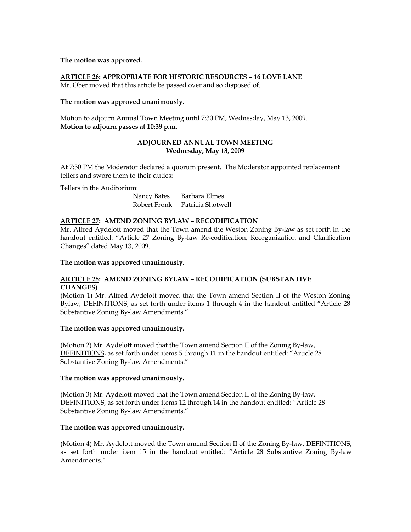#### **The motion was approved.**

# **ARTICLE 26: APPROPRIATE FOR HISTORIC RESOURCES – 16 LOVE LANE**

Mr. Ober moved that this article be passed over and so disposed of.

## **The motion was approved unanimously.**

Motion to adjourn Annual Town Meeting until 7:30 PM, Wednesday, May 13, 2009. **Motion to adjourn passes at 10:39 p.m.** 

# **ADJOURNED ANNUAL TOWN MEETING Wednesday, May 13, 2009**

At 7:30 PM the Moderator declared a quorum present. The Moderator appointed replacement tellers and swore them to their duties:

Tellers in the Auditorium:

Nancy Bates Barbara Elmes Robert Fronk Patricia Shotwell

# **ARTICLE 27: AMEND ZONING BYLAW – RECODIFICATION**

Mr. Alfred Aydelott moved that the Town amend the Weston Zoning By-law as set forth in the handout entitled: "Article 27 Zoning By-law Re-codification, Reorganization and Clarification Changes" dated May 13, 2009.

#### **The motion was approved unanimously.**

# **ARTICLE 28: AMEND ZONING BYLAW – RECODIFICATION (SUBSTANTIVE CHANGES)**

(Motion 1) Mr. Alfred Aydelott moved that the Town amend Section II of the Weston Zoning Bylaw, DEFINITIONS, as set forth under items 1 through 4 in the handout entitled "Article 28 Substantive Zoning By-law Amendments."

#### **The motion was approved unanimously.**

(Motion 2) Mr. Aydelott moved that the Town amend Section II of the Zoning By-law, DEFINITIONS, as set forth under items 5 through 11 in the handout entitled: "Article 28 Substantive Zoning By-law Amendments."

#### **The motion was approved unanimously.**

(Motion 3) Mr. Aydelott moved that the Town amend Section II of the Zoning By-law, DEFINITIONS, as set forth under items 12 through 14 in the handout entitled: "Article 28 Substantive Zoning By-law Amendments."

#### **The motion was approved unanimously.**

(Motion 4) Mr. Aydelott moved the Town amend Section II of the Zoning By-law, DEFINITIONS, as set forth under item 15 in the handout entitled: "Article 28 Substantive Zoning By-law Amendments."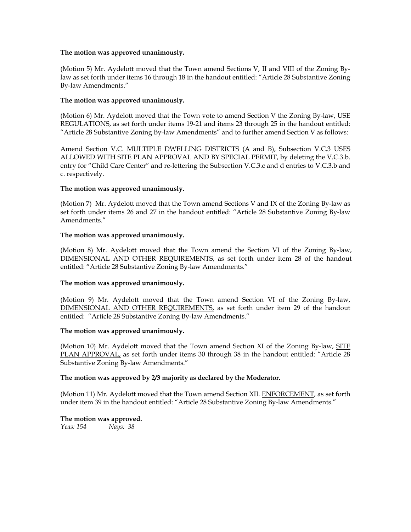## **The motion was approved unanimously.**

(Motion 5) Mr. Aydelott moved that the Town amend Sections V, II and VIII of the Zoning Bylaw as set forth under items 16 through 18 in the handout entitled: "Article 28 Substantive Zoning By-law Amendments."

# **The motion was approved unanimously.**

(Motion 6) Mr. Aydelott moved that the Town vote to amend Section V the Zoning By-law, USE REGULATIONS, as set forth under items 19-21 and items 23 through 25 in the handout entitled: "Article 28 Substantive Zoning By-law Amendments" and to further amend Section V as follows:

Amend Section V.C. MULTIPLE DWELLING DISTRICTS (A and B), Subsection V.C.3 USES ALLOWED WITH SITE PLAN APPROVAL AND BY SPECIAL PERMIT, by deleting the V.C.3.b. entry for "Child Care Center" and re-lettering the Subsection V.C.3.c and d entries to V.C.3.b and c. respectively.

# **The motion was approved unanimously.**

(Motion 7) Mr. Aydelott moved that the Town amend Sections V and IX of the Zoning By-law as set forth under items 26 and 27 in the handout entitled: "Article 28 Substantive Zoning By-law Amendments."

# **The motion was approved unanimously.**

(Motion 8) Mr. Aydelott moved that the Town amend the Section VI of the Zoning By-law, DIMENSIONAL AND OTHER REQUIREMENTS, as set forth under item 28 of the handout entitled: "Article 28 Substantive Zoning By-law Amendments."

#### **The motion was approved unanimously.**

(Motion 9) Mr. Aydelott moved that the Town amend Section VI of the Zoning By-law, DIMENSIONAL AND OTHER REQUIREMENTS, as set forth under item 29 of the handout entitled: "Article 28 Substantive Zoning By-law Amendments."

#### **The motion was approved unanimously.**

(Motion 10) Mr. Aydelott moved that the Town amend Section XI of the Zoning By-law, SITE PLAN APPROVAL, as set forth under items 30 through 38 in the handout entitled: "Article 28 Substantive Zoning By-law Amendments."

#### **The motion was approved by 2/3 majority as declared by the Moderator.**

(Motion 11) Mr. Aydelott moved that the Town amend Section XII. ENFORCEMENT, as set forth under item 39 in the handout entitled: "Article 28 Substantive Zoning By-law Amendments."

#### **The motion was approved.**

*Yeas: 154 Nays: 38*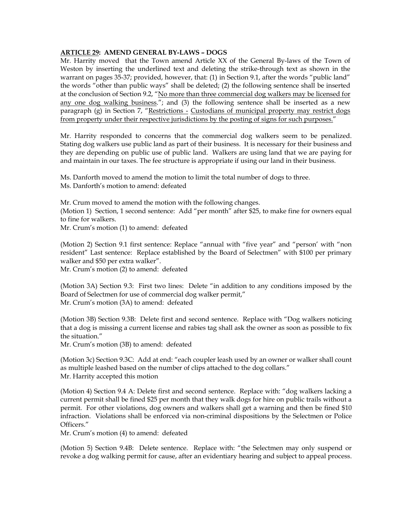## **ARTICLE 29: AMEND GENERAL BY-LAWS – DOGS**

Mr. Harrity moved that the Town amend Article XX of the General By-laws of the Town of Weston by inserting the underlined text and deleting the strike-through text as shown in the warrant on pages 35-37; provided, however, that: (1) in Section 9.1, after the words "public land" the words "other than public ways" shall be deleted; (2) the following sentence shall be inserted at the conclusion of Section 9.2, "No more than three commercial dog walkers may be licensed for any one dog walking business."; and (3) the following sentence shall be inserted as a new paragraph (g) in Section 7, "Restrictions - Custodians of municipal property may restrict dogs from property under their respective jurisdictions by the posting of signs for such purposes."

Mr. Harrity responded to concerns that the commercial dog walkers seem to be penalized. Stating dog walkers use public land as part of their business. It is necessary for their business and they are depending on public use of public land. Walkers are using land that we are paying for and maintain in our taxes. The fee structure is appropriate if using our land in their business.

Ms. Danforth moved to amend the motion to limit the total number of dogs to three. Ms. Danforth's motion to amend: defeated

Mr. Crum moved to amend the motion with the following changes. (Motion 1) Section, 1 second sentence: Add "per month" after \$25, to make fine for owners equal to fine for walkers. Mr. Crum's motion (1) to amend: defeated

(Motion 2) Section 9.1 first sentence: Replace "annual with "five year" and "person' with "non resident" Last sentence: Replace established by the Board of Selectmen" with \$100 per primary walker and \$50 per extra walker".

Mr. Crum's motion (2) to amend: defeated

(Motion 3A) Section 9.3: First two lines: Delete "in addition to any conditions imposed by the Board of Selectmen for use of commercial dog walker permit," Mr. Crum's motion (3A) to amend: defeated

(Motion 3B) Section 9.3B: Delete first and second sentence. Replace with "Dog walkers noticing that a dog is missing a current license and rabies tag shall ask the owner as soon as possible to fix the situation."

Mr. Crum's motion (3B) to amend: defeated

(Motion 3c) Section 9.3C: Add at end: "each coupler leash used by an owner or walker shall count as multiple leashed based on the number of clips attached to the dog collars." Mr. Harrity accepted this motion

(Motion 4) Section 9.4 A: Delete first and second sentence. Replace with: "dog walkers lacking a current permit shall be fined \$25 per month that they walk dogs for hire on public trails without a permit. For other violations, dog owners and walkers shall get a warning and then be fined \$10 infraction. Violations shall be enforced via non-criminal dispositions by the Selectmen or Police Officers."

Mr. Crum's motion (4) to amend: defeated

(Motion 5) Section 9.4B: Delete sentence. Replace with: "the Selectmen may only suspend or revoke a dog walking permit for cause, after an evidentiary hearing and subject to appeal process.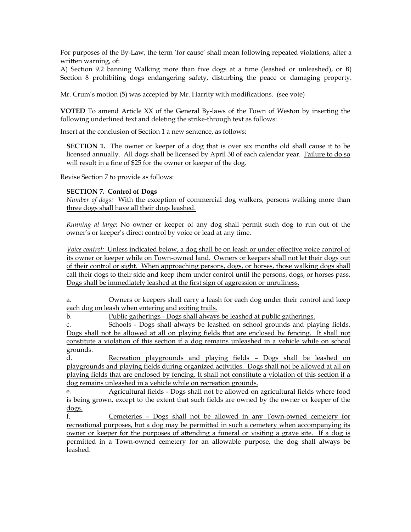For purposes of the By-Law, the term 'for cause' shall mean following repeated violations, after a written warning, of:

A) Section 9.2 banning Walking more than five dogs at a time (leashed or unleashed), or B) Section 8 prohibiting dogs endangering safety, disturbing the peace or damaging property.

Mr. Crum's motion (5) was accepted by Mr. Harrity with modifications. (see vote)

**VOTED** To amend Article XX of the General By-laws of the Town of Weston by inserting the following underlined text and deleting the strike-through text as follows:

Insert at the conclusion of Section 1 a new sentence, as follows:

**SECTION 1.** The owner or keeper of a dog that is over six months old shall cause it to be licensed annually. All dogs shall be licensed by April 30 of each calendar year. Failure to do so will result in a fine of \$25 for the owner or keeper of the dog.

Revise Section 7 to provide as follows:

# **SECTION 7. Control of Dogs**

*Number of dogs:* With the exception of commercial dog walkers, persons walking more than three dogs shall have all their dogs leashed.

*Running at large*: No owner or keeper of any dog shall permit such dog to run out of the owner's or keeper's direct control by voice or lead at any time.

*Voice control:* Unless indicated below, a dog shall be on leash or under effective voice control of its owner or keeper while on Town-owned land. Owners or keepers shall not let their dogs out of their control or sight. When approaching persons, dogs, or horses, those walking dogs shall call their dogs to their side and keep them under control until the persons, dogs, or horses pass. Dogs shall be immediately leashed at the first sign of aggression or unruliness.

a. Owners or keepers shall carry a leash for each dog under their control and keep each dog on leash when entering and exiting trails.

b. Public gatherings - Dogs shall always be leashed at public gatherings.

c. Schools - Dogs shall always be leashed on school grounds and playing fields. Dogs shall not be allowed at all on playing fields that are enclosed by fencing. It shall not constitute a violation of this section if a dog remains unleashed in a vehicle while on school grounds.

d. Recreation playgrounds and playing fields – Dogs shall be leashed on playgrounds and playing fields during organized activities. Dogs shall not be allowed at all on playing fields that are enclosed by fencing. It shall not constitute a violation of this section if a dog remains unleashed in a vehicle while on recreation grounds.

e. Agricultural fields - Dogs shall not be allowed on agricultural fields where food is being grown, except to the extent that such fields are owned by the owner or keeper of the dogs.

f. Cemeteries – Dogs shall not be allowed in any Town-owned cemetery for recreational purposes, but a dog may be permitted in such a cemetery when accompanying its owner or keeper for the purposes of attending a funeral or visiting a grave site. If a dog is permitted in a Town-owned cemetery for an allowable purpose, the dog shall always be leashed.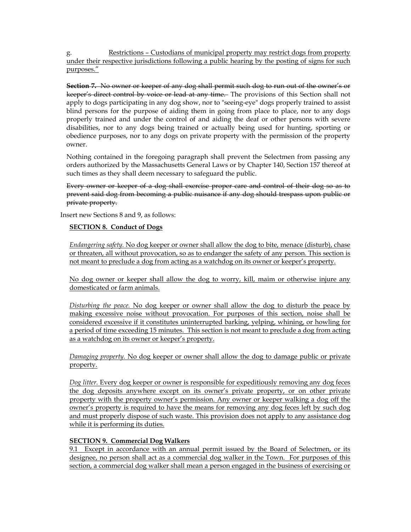g. Restrictions – Custodians of municipal property may restrict dogs from property under their respective jurisdictions following a public hearing by the posting of signs for such purposes."

**Section 7.** No owner or keeper of any dog shall permit such dog to run out of the owner's or keeper's direct control by voice or lead at any time. The provisions of this Section shall not apply to dogs participating in any dog show, nor to "seeing-eye" dogs properly trained to assist blind persons for the purpose of aiding them in going from place to place, nor to any dogs properly trained and under the control of and aiding the deaf or other persons with severe disabilities, nor to any dogs being trained or actually being used for hunting, sporting or obedience purposes, nor to any dogs on private property with the permission of the property owner.

Nothing contained in the foregoing paragraph shall prevent the Selectmen from passing any orders authorized by the Massachusetts General Laws or by Chapter 140, Section 157 thereof at such times as they shall deem necessary to safeguard the public.

Every owner or keeper of a dog shall exercise proper care and control of their dog so as to prevent said dog from becoming a public nuisance if any dog should trespass upon public or private property.

Insert new Sections 8 and 9, as follows:

# **SECTION 8. Conduct of Dogs**

*Endangering safety.* No dog keeper or owner shall allow the dog to bite, menace (disturb), chase or threaten, all without provocation, so as to endanger the safety of any person. This section is not meant to preclude a dog from acting as a watchdog on its owner or keeper's property.

No dog owner or keeper shall allow the dog to worry, kill, maim or otherwise injure any domesticated or farm animals.

*Disturbing the peace.* No dog keeper or owner shall allow the dog to disturb the peace by making excessive noise without provocation. For purposes of this section, noise shall be considered excessive if it constitutes uninterrupted barking, yelping, whining, or howling for a period of time exceeding 15 minutes. This section is not meant to preclude a dog from acting as a watchdog on its owner or keeper's property.

*Damaging property.* No dog keeper or owner shall allow the dog to damage public or private property.

*Dog litter.* Every dog keeper or owner is responsible for expeditiously removing any dog feces the dog deposits anywhere except on its owner's private property, or on other private property with the property owner's permission. Any owner or keeper walking a dog off the owner's property is required to have the means for removing any dog feces left by such dog and must properly dispose of such waste. This provision does not apply to any assistance dog while it is performing its duties.

## **SECTION 9. Commercial Dog Walkers**

9.1 Except in accordance with an annual permit issued by the Board of Selectmen, or its designee, no person shall act as a commercial dog walker in the Town. For purposes of this section, a commercial dog walker shall mean a person engaged in the business of exercising or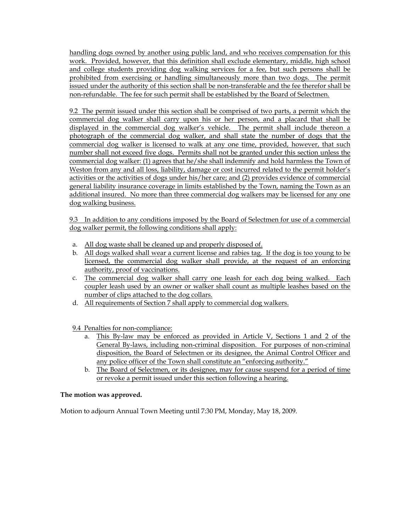handling dogs owned by another using public land, and who receives compensation for this work. Provided, however, that this definition shall exclude elementary, middle, high school and college students providing dog walking services for a fee, but such persons shall be prohibited from exercising or handling simultaneously more than two dogs. The permit issued under the authority of this section shall be non-transferable and the fee therefor shall be non-refundable. The fee for such permit shall be established by the Board of Selectmen.

9.2 The permit issued under this section shall be comprised of two parts, a permit which the commercial dog walker shall carry upon his or her person, and a placard that shall be displayed in the commercial dog walker's vehicle. The permit shall include thereon a photograph of the commercial dog walker, and shall state the number of dogs that the commercial dog walker is licensed to walk at any one time, provided, however, that such number shall not exceed five dogs. Permits shall not be granted under this section unless the commercial dog walker: (1) agrees that he/she shall indemnify and hold harmless the Town of Weston from any and all loss, liability, damage or cost incurred related to the permit holder's activities or the activities of dogs under his/her care; and (2) provides evidence of commercial general liability insurance coverage in limits established by the Town, naming the Town as an additional insured. No more than three commercial dog walkers may be licensed for any one dog walking business.

9.3 In addition to any conditions imposed by the Board of Selectmen for use of a commercial dog walker permit, the following conditions shall apply:

- a. All dog waste shall be cleaned up and properly disposed of.
- b. All dogs walked shall wear a current license and rabies tag. If the dog is too young to be licensed, the commercial dog walker shall provide, at the request of an enforcing authority, proof of vaccinations.
- c. The commercial dog walker shall carry one leash for each dog being walked. Each coupler leash used by an owner or walker shall count as multiple leashes based on the number of clips attached to the dog collars.
- d. All requirements of Section 7 shall apply to commercial dog walkers.

9.4 Penalties for non-compliance:

- a. This By-law may be enforced as provided in Article V, Sections 1 and 2 of the General By-laws, including non-criminal disposition. For purposes of non-criminal disposition, the Board of Selectmen or its designee, the Animal Control Officer and any police officer of the Town shall constitute an "enforcing authority."
- b. The Board of Selectmen, or its designee, may for cause suspend for a period of time or revoke a permit issued under this section following a hearing.

# **The motion was approved.**

Motion to adjourn Annual Town Meeting until 7:30 PM, Monday, May 18, 2009.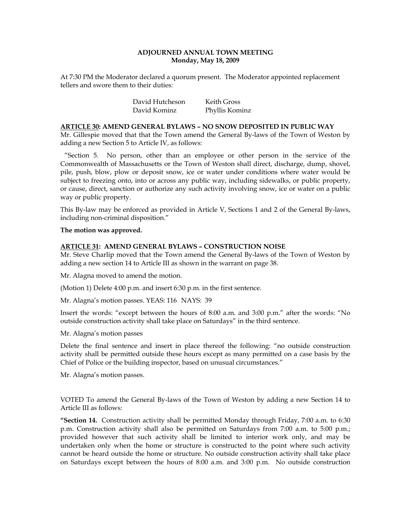# **ADJOURNED ANNUAL TOWN MEETING Monday, May 18, 2009**

At 7:30 PM the Moderator declared a quorum present. The Moderator appointed replacement tellers and swore them to their duties:

> David Hutcheson Keith Gross David Kominz Phyllis Kominz

**ARTICLE 30: AMEND GENERAL BYLAWS – NO SNOW DEPOSITED IN PUBLIC WAY**  Mr. Gillespie moved that that the Town amend the General By-laws of the Town of Weston by adding a new Section 5 to Article IV, as follows:

 "Section 5. No person, other than an employee or other person in the service of the Commonwealth of Massachusetts or the Town of Weston shall direct, discharge, dump, shovel, pile, push, blow, plow or deposit snow, ice or water under conditions where water would be subject to freezing onto, into or across any public way, including sidewalks, or public property, or cause, direct, sanction or authorize any such activity involving snow, ice or water on a public way or public property.

This By-law may be enforced as provided in Article V, Sections 1 and 2 of the General By-laws, including non-criminal disposition."

#### **The motion was approved.**

# **ARTICLE 31: AMEND GENERAL BYLAWS – CONSTRUCTION NOISE**

Mr. Steve Charlip moved that the Town amend the General By-laws of the Town of Weston by adding a new section 14 to Article III as shown in the warrant on page 38.

Mr. Alagna moved to amend the motion.

(Motion 1) Delete 4:00 p.m. and insert 6:30 p.m. in the first sentence.

Mr. Alagna's motion passes. YEAS: 116 NAYS: 39

Insert the words: "except between the hours of 8:00 a.m. and 3:00 p.m." after the words: "No outside construction activity shall take place on Saturdays" in the third sentence.

Mr. Alagna's motion passes

Delete the final sentence and insert in place thereof the following: "no outside construction activity shall be permitted outside these hours except as many permitted on a case basis by the Chief of Police or the building inspector, based on unusual circumstances."

Mr. Alagna's motion passes.

VOTED To amend the General By-laws of the Town of Weston by adding a new Section 14 to Article III as follows:

**"Section 14.** Construction activity shall be permitted Monday through Friday, 7:00 a.m. to 6:30 p.m. Construction activity shall also be permitted on Saturdays from 7:00 a.m. to 5:00 p.m.; provided however that such activity shall be limited to interior work only, and may be undertaken only when the home or structure is constructed to the point where such activity cannot be heard outside the home or structure. No outside construction activity shall take place on Saturdays except between the hours of 8:00 a.m. and 3:00 p.m. No outside construction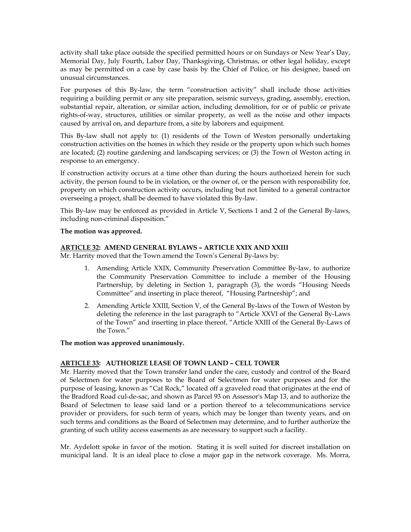activity shall take place outside the specified permitted hours or on Sundays or New Year's Day, Memorial Day, July Fourth, Labor Day, Thanksgiving, Christmas, or other legal holiday, except as may be permitted on a case by case basis by the Chief of Police, or his designee, based on unusual circumstances.

For purposes of this By-law, the term "construction activity" shall include those activities requiring a building permit or any site preparation, seismic surveys, grading, assembly, erection, substantial repair, alteration, or similar action, including demolition, for or of public or private rights-of-way, structures, utilities or similar property, as well as the noise and other impacts caused by arrival on, and departure from, a site by laborers and equipment.

This By-law shall not apply to: (1) residents of the Town of Weston personally undertaking construction activities on the homes in which they reside or the property upon which such homes are located; (2) routine gardening and landscaping services; or (3) the Town of Weston acting in response to an emergency.

If construction activity occurs at a time other than during the hours authorized herein for such activity, the person found to be in violation, or the owner of, or the person with responsibility for, property on which construction activity occurs, including but not limited to a general contractor overseeing a project, shall be deemed to have violated this By-law.

This By-law may be enforced as provided in Article V, Sections 1 and 2 of the General By-laws, including non-criminal disposition."

# **The motion was approved.**

# **ARTICLE 32: AMEND GENERAL BYLAWS – ARTICLE XXIX AND XXIII**

Mr. Harrity moved that the Town amend the Town's General By-laws by:

- 1. Amending Article XXIX, Community Preservation Committee By-law, to authorize the Community Preservation Committee to include a member of the Housing Partnership, by deleting in Section 1, paragraph (3), the words "Housing Needs Committee" and inserting in place thereof, "Housing Partnership"; and
- 2. Amending Article XXIII, Section V, of the General By-laws of the Town of Weston by deleting the reference in the last paragraph to "Article XXVI of the General By-Laws of the Town" and inserting in place thereof, "Article XXIII of the General By-Laws of the Town."

# **The motion was approved unanimously.**

#### **ARTICLE 33: AUTHORIZE LEASE OF TOWN LAND – CELL TOWER**

Mr. Harrity moved that the Town transfer land under the care, custody and control of the Board of Selectmen for water purposes to the Board of Selectmen for water purposes and for the purpose of leasing, known as "Cat Rock," located off a graveled road that originates at the end of the Bradford Road cul-de-sac, and shown as Parcel 93 on Assessor's Map 13, and to authorize the Board of Selectmen to lease said land or a portion thereof to a telecommunications service provider or providers, for such term of years, which may be longer than twenty years, and on such terms and conditions as the Board of Selectmen may determine, and to further authorize the granting of such utility access easements as are necessary to support such a facility.

Mr. Aydelott spoke in favor of the motion. Stating it is well suited for discreet installation on municipal land. It is an ideal place to close a major gap in the network coverage. Ms. Morra,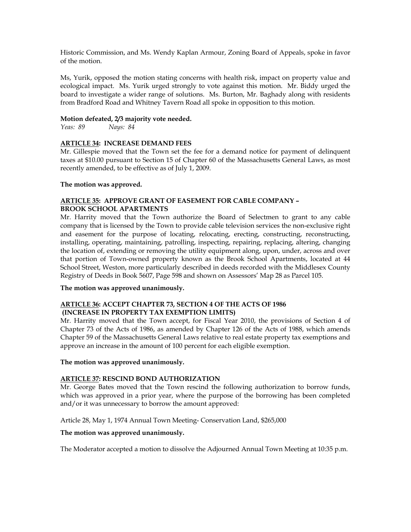Historic Commission, and Ms. Wendy Kaplan Armour, Zoning Board of Appeals, spoke in favor of the motion.

Ms, Yurik, opposed the motion stating concerns with health risk, impact on property value and ecological impact. Ms. Yurik urged strongly to vote against this motion. Mr. Biddy urged the board to investigate a wider range of solutions. Ms. Burton, Mr. Baghady along with residents from Bradford Road and Whitney Tavern Road all spoke in opposition to this motion.

# **Motion defeated, 2/3 majority vote needed.**

*Yeas: 89 Nays: 84* 

# **ARTICLE 34: INCREASE DEMAND FEES**

Mr. Gillespie moved that the Town set the fee for a demand notice for payment of delinquent taxes at \$10.00 pursuant to Section 15 of Chapter 60 of the Massachusetts General Laws, as most recently amended, to be effective as of July 1, 2009.

#### **The motion was approved.**

# **ARTICLE 35: APPROVE GRANT OF EASEMENT FOR CABLE COMPANY – BROOK SCHOOL APARTMENTS**

Mr. Harrity moved that the Town authorize the Board of Selectmen to grant to any cable company that is licensed by the Town to provide cable television services the non-exclusive right and easement for the purpose of locating, relocating, erecting, constructing, reconstructing, installing, operating, maintaining, patrolling, inspecting, repairing, replacing, altering, changing the location of, extending or removing the utility equipment along, upon, under, across and over that portion of Town-owned property known as the Brook School Apartments, located at 44 School Street, Weston, more particularly described in deeds recorded with the Middlesex County Registry of Deeds in Book 5607, Page 598 and shown on Assessors' Map 28 as Parcel 105.

#### **The motion was approved unanimously.**

# **ARTICLE 36: ACCEPT CHAPTER 73, SECTION 4 OF THE ACTS OF 1986 (INCREASE IN PROPERTY TAX EXEMPTION LIMITS)**

Mr. Harrity moved that the Town accept, for Fiscal Year 2010, the provisions of Section 4 of Chapter 73 of the Acts of 1986, as amended by Chapter 126 of the Acts of 1988, which amends Chapter 59 of the Massachusetts General Laws relative to real estate property tax exemptions and approve an increase in the amount of 100 percent for each eligible exemption.

#### **The motion was approved unanimously.**

# **ARTICLE 37: RESCIND BOND AUTHORIZATION**

Mr. George Bates moved that the Town rescind the following authorization to borrow funds, which was approved in a prior year, where the purpose of the borrowing has been completed and/or it was unnecessary to borrow the amount approved:

Article 28, May 1, 1974 Annual Town Meeting- Conservation Land, \$265,000

# **The motion was approved unanimously.**

The Moderator accepted a motion to dissolve the Adjourned Annual Town Meeting at 10:35 p.m.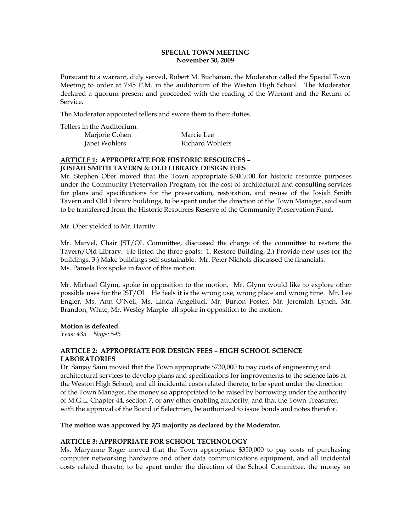# **SPECIAL TOWN MEETING November 30, 2009**

Pursuant to a warrant, duly served, Robert M. Buchanan, the Moderator called the Special Town Meeting to order at 7:45 P.M. in the auditorium of the Weston High School. The Moderator declared a quorum present and proceeded with the reading of the Warrant and the Return of Service.

The Moderator appointed tellers and swore them to their duties.

Tellers in the Auditorium:

| Marjorie Cohen | Marcie Lee      |
|----------------|-----------------|
| Janet Wohlers  | Richard Wohlers |

# **ARTICLE 1: APPROPRIATE FOR HISTORIC RESOURCES – JOSIAH SMITH TAVERN & OLD LIBRARY DESIGN FEES**

Mr. Stephen Ober moved that the Town appropriate \$300,000 for historic resource purposes under the Community Preservation Program, for the cost of architectural and consulting services for plans and specifications for the preservation, restoration, and re-use of the Josiah Smith Tavern and Old Library buildings, to be spent under the direction of the Town Manager, said sum to be transferred from the Historic Resources Reserve of the Community Preservation Fund.

Mr. Ober yielded to Mr. Harrity.

Mr. Marvel, Chair JST/OL Committee, discussed the charge of the committee to restore the Tavern/Old Library. He listed the three goals: 1. Restore Building, 2.) Provide new uses for the buildings, 3.) Make buildings self sustainable. Mr. Peter Nichols discussed the financials. Ms. Pamela Fox spoke in favor of this motion.

Mr. Michael Glynn, spoke in opposition to the motion. Mr. Glynn would like to explore other possible uses for the JST/OL. He feels it is the wrong use, wrong place and wrong time. Mr. Lee Engler, Ms. Ann O'Neil, Ms. Linda Angelluci, Mr. Burton Foster, Mr. Jeremiah Lynch, Mr. Brandon, White, Mr. Wesley Marple all spoke in opposition to the motion.

#### **Motion is defeated.**

*Yeas: 435 Nays: 545* 

# **ARTICLE 2: APPROPRIATE FOR DESIGN FEES – HIGH SCHOOL SCIENCE LABORATORIES**

Dr. Sanjay Saini moved that the Town appropriate \$730,000 to pay costs of engineering and architectural services to develop plans and specifications for improvements to the science labs at the Weston High School, and all incidental costs related thereto, to be spent under the direction of the Town Manager, the money so appropriated to be raised by borrowing under the authority of M.G.L. Chapter 44, section 7, or any other enabling authority, and that the Town Treasurer, with the approval of the Board of Selectmen, be authorized to issue bonds and notes therefor.

# **The motion was approved by 2/3 majority as declared by the Moderator.**

# **ARTICLE 3: APPROPRIATE FOR SCHOOL TECHNOLOGY**

Ms. Maryanne Roger moved that the Town appropriate \$350,000 to pay costs of purchasing computer networking hardware and other data communications equipment, and all incidental costs related thereto, to be spent under the direction of the School Committee, the money so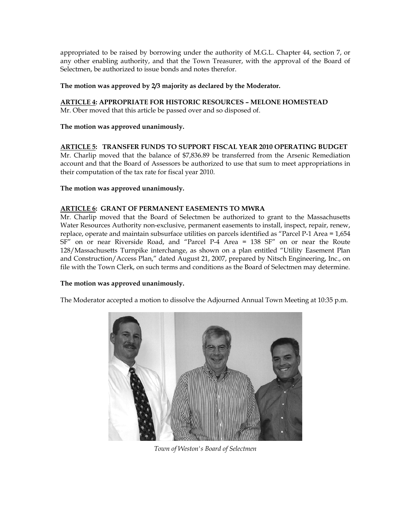appropriated to be raised by borrowing under the authority of M.G.L. Chapter 44, section 7, or any other enabling authority, and that the Town Treasurer, with the approval of the Board of Selectmen, be authorized to issue bonds and notes therefor.

# **The motion was approved by 2/3 majority as declared by the Moderator.**

**ARTICLE 4: APPROPRIATE FOR HISTORIC RESOURCES – MELONE HOMESTEAD** 

Mr. Ober moved that this article be passed over and so disposed of.

# **The motion was approved unanimously.**

# **ARTICLE 5: TRANSFER FUNDS TO SUPPORT FISCAL YEAR 2010 OPERATING BUDGET**

Mr. Charlip moved that the balance of \$7,836.89 be transferred from the Arsenic Remediation account and that the Board of Assessors be authorized to use that sum to meet appropriations in their computation of the tax rate for fiscal year 2010.

# **The motion was approved unanimously.**

# **ARTICLE 6: GRANT OF PERMANENT EASEMENTS TO MWRA**

Mr. Charlip moved that the Board of Selectmen be authorized to grant to the Massachusetts Water Resources Authority non-exclusive, permanent easements to install, inspect, repair, renew, replace, operate and maintain subsurface utilities on parcels identified as "Parcel P-1 Area = 1,654 SF" on or near Riverside Road, and "Parcel P-4 Area = 138 SF" on or near the Route 128/Massachusetts Turnpike interchange, as shown on a plan entitled "Utility Easement Plan and Construction/Access Plan," dated August 21, 2007, prepared by Nitsch Engineering, Inc., on file with the Town Clerk, on such terms and conditions as the Board of Selectmen may determine.

#### **The motion was approved unanimously.**

The Moderator accepted a motion to dissolve the Adjourned Annual Town Meeting at 10:35 p.m.



*Town of Weston's Board of Selectmen*